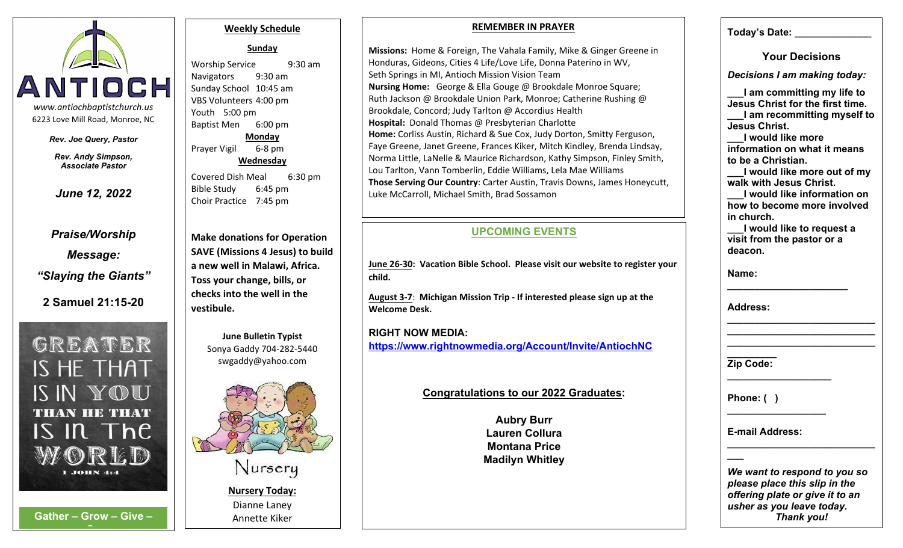

*Rev. Joe Query, Pastor*

*Rev. Andy Simpson, Associate Pastor*

*Praise/Worship Message: "Slaying the Giants"*

**2 Samuel 21:15-20**

GREATER IS HE THAT IS IN YOU **THAN HE THAT**  $IS$  In The  $1$  JOHN 4:4

**G**

#### **Weekly Schedule**

**Sunday**

*June 12, 2022* **a b Bible Study** 6:45 pm Sunday School 10:45 am VBS Volunteers 4:00 pm Youth 5:00 pm Baptist Men 6:00 pm **Monday Wednesday** Bible Study Choir Practice 7:45 pm

> **Make donations for Operation SAVE (Missions 4 Jesus) to build a new well in Malawi, Africa. Toss your change, bills, or checks into the well in the vestibule.**

> > **June Bulletin Typist** Sonya Gaddy 704-282-5440 swgaddy@yahoo.com



### **REMEMBER IN PRAYER**

Worship Service 9:30 am Honduras, Gideons, Cities 4 Life/Love Life, Donna Paterino in WV, Navigators 9:30 am Seth Springs in MI, Antioch Mission Vision Team Prayer Vigil 6-8 pm | | Faye Greene, Janet Greene, Frances Kiker, Mitch Kindley, Brenda Lindsay, | Covered Dish Meal 6:30 pm **Those Serving Our Country**: Carter Austin, Travis Downs, James Honeycutt, **Missions:** Home & Foreign, The Vahala Family, Mike & Ginger Greene in **Nursing Home:** George & Ella Gouge @ Brookdale Monroe Square; Ruth Jackson @ Brookdale Union Park, Monroe; Catherine Rushing @ Brookdale, Concord; Judy Tarlton @ Accordius Health **Hospital:** Donald Thomas @ Presbyterian Charlotte **Home:** Corliss Austin, Richard & Sue Cox, Judy Dorton, Smitty Ferguson, Norma Little, LaNelle & Maurice Richardson, Kathy Simpson, Finley Smith, Lou Tarlton, Vann Tomberlin, Eddie Williams, Lela Mae Williams Luke McCarroll, Michael Smith, Brad Sossamon

# **UPCOMING EVENTS**

**June 26-30: Vacation Bible School. Please visit our website to register your child.**

**August 3-7**: **Michigan Mission Trip - If interested please sign up at the Welcome Desk.**

**RIGHT NOW MEDIA: https://www.rightnowmedia.org/Account/Invite/AntiochNC**

### **Congratulations to our 2022 Graduates:**

**Aubry Burr Lauren Collura Montana Price Madilyn Whitley** **Today's Date: \_\_\_\_\_\_\_\_\_\_\_\_\_\_**

**Your Decisions**

*Decisions I am making today:*

**\_\_\_I am committing my life to Jesus Christ for the first time. \_\_\_I am recommitting myself to Jesus Christ.**

**\_\_\_I would like more information on what it means to be a Christian.**

**\_\_\_I would like more out of my walk with Jesus Christ.**

**\_\_\_I would like information on how to become more involved in church.**

**\_\_\_I would like to request a visit from the pastor or a deacon.**

**\_\_\_\_\_\_\_\_\_\_\_\_\_\_\_\_\_\_\_\_\_\_\_\_\_\_\_ \_\_\_\_\_\_\_\_\_\_\_\_\_\_\_\_\_\_\_\_\_\_\_\_\_\_\_**

**Name: \_\_\_\_\_\_\_\_\_\_\_\_\_\_\_\_\_\_\_\_\_\_**

**Address: \_\_\_\_\_\_\_\_\_\_\_\_\_\_\_\_\_\_\_\_\_\_\_\_\_\_\_**

**\_\_\_\_\_\_\_\_\_ Zip Code: \_\_\_\_\_\_\_\_\_\_\_\_\_\_\_\_\_\_\_**

**Phone: ( )** 

**E-mail Address: \_\_\_\_\_\_\_\_\_\_\_\_\_\_\_\_\_\_\_\_\_\_\_\_\_\_\_**

*We want to respond to you so please place this slip in the offering plate or give it to an usher as you leave today.*

**\_\_\_**